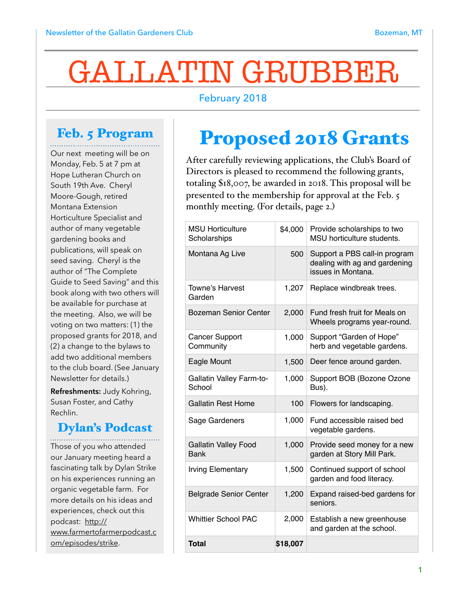# GALLATIN GRUBBER

#### February 2018

## Feb. 5 Program

Our next meeting will be on Monday, Feb. 5 at 7 pm at Hope Lutheran Church on South 19th Ave. Cheryl Moore-Gough, retired Montana Extension Horticulture Specialist and author of many vegetable gardening books and publications, will speak on seed saving. Cheryl is the author of "The Complete Guide to Seed Saving" and this book along with two others will be available for purchase at the meeting. Also, we will be voting on two matters: (1) the proposed grants for 2018, and (2) a change to the bylaws to add two additional members to the club board. (See January Newsletter for details.)

**Refreshments:** Judy Kohring, Susan Foster, and Cathy Rechlin.

#### Dylan's Podcast

Those of you who attended our January meeting heard a fascinating talk by Dylan Strike on his experiences running an organic vegetable farm. For more details on his ideas and experiences, check out this podcast: http:// [www.farmertofarmerpodcast.c](http://www.farmertofarmerpodcast.com/episodes/strike) om/episodes/strike.

# Proposed 2018 Grants

After carefully reviewing applications, the Club's Board of Directors is pleased to recommend the following grants, totaling \$18,007, be awarded in 2018. This proposal will be presented to the membership for approval at the Feb. 5 monthly meeting. (For details, page 2.)

| <b>MSU Horticulture</b><br>Scholarships    | \$4,000  | Provide scholarships to two<br>MSU horticulture students.                            |
|--------------------------------------------|----------|--------------------------------------------------------------------------------------|
| Montana Ag Live                            | 500      | Support a PBS call-in program<br>dealing with ag and gardening<br>issues in Montana. |
| <b>Towne's Harvest</b><br>Garden           | 1,207    | Replace windbreak trees.                                                             |
| Bozeman Senior Center                      | 2,000    | Fund fresh fruit for Meals on<br>Wheels programs year-round.                         |
| <b>Cancer Support</b><br>Community         | 1,000    | Support "Garden of Hope"<br>herb and vegetable gardens.                              |
| Eagle Mount                                | 1,500    | Deer fence around garden.                                                            |
| <b>Gallatin Valley Farm-to-</b><br>School  | 1,000    | Support BOB (Bozone Ozone<br>Bus).                                                   |
| <b>Gallatin Rest Home</b>                  | 100      | Flowers for landscaping.                                                             |
| Sage Gardeners                             | 1,000    | Fund accessible raised bed<br>vegetable gardens.                                     |
| <b>Gallatin Valley Food</b><br><b>Bank</b> | 1,000    | Provide seed money for a new<br>garden at Story Mill Park.                           |
| <b>Irving Elementary</b>                   | 1,500    | Continued support of school<br>garden and food literacy.                             |
| <b>Belgrade Senior Center</b>              | 1,200    | Expand raised-bed gardens for<br>seniors.                                            |
| <b>Whittier School PAC</b>                 | 2,000    | Establish a new greenhouse<br>and garden at the school.                              |
| <b>Total</b>                               | \$18,007 |                                                                                      |